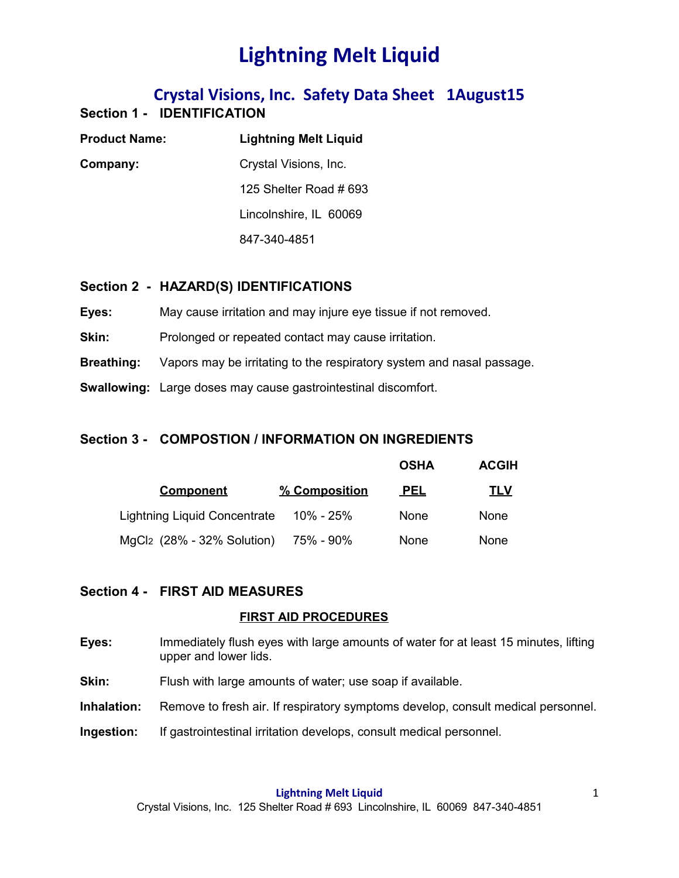## **Crystal Visions, Inc. Safety Data Sheet 1August15 Section 1 - IDENTIFICATION**

| <b>Product Name:</b> | <b>Lightning Melt Liquid</b> |  |
|----------------------|------------------------------|--|
| Company:             | Crystal Visions, Inc.        |  |
|                      | 125 Shelter Road # 693       |  |
|                      | Lincolnshire, IL 60069       |  |
|                      | 847-340-4851                 |  |

### **Section 2 - HAZARD(S) IDENTIFICATIONS**

**Eyes:** May cause irritation and may injure eye tissue if not removed.

**Skin:** Prolonged or repeated contact may cause irritation.

**Breathing:** Vapors may be irritating to the respiratory system and nasal passage.

**Swallowing:** Large doses may cause gastrointestinal discomfort.

## **Section 3 - COMPOSTION / INFORMATION ON INGREDIENTS**

|                                        |               | <b>OSHA</b> | <b>ACGIH</b> |
|----------------------------------------|---------------|-------------|--------------|
| <b>Component</b>                       | % Composition | <b>PEL</b>  | <u>TLV</u>   |
| Lightning Liquid Concentrate           | 10% - 25%     | <b>None</b> | None         |
| MgCl <sub>2</sub> (28% - 32% Solution) | 75% - 90%     | None        | <b>None</b>  |

### **Section 4 - FIRST AID MEASURES**

### **FIRST AID PROCEDURES**

- **Eyes:** Immediately flush eyes with large amounts of water for at least 15 minutes, lifting upper and lower lids.
- **Skin:** Flush with large amounts of water; use soap if available.
- **Inhalation:** Remove to fresh air. If respiratory symptoms develop, consult medical personnel.
- **Ingestion:** If gastrointestinal irritation develops, consult medical personnel.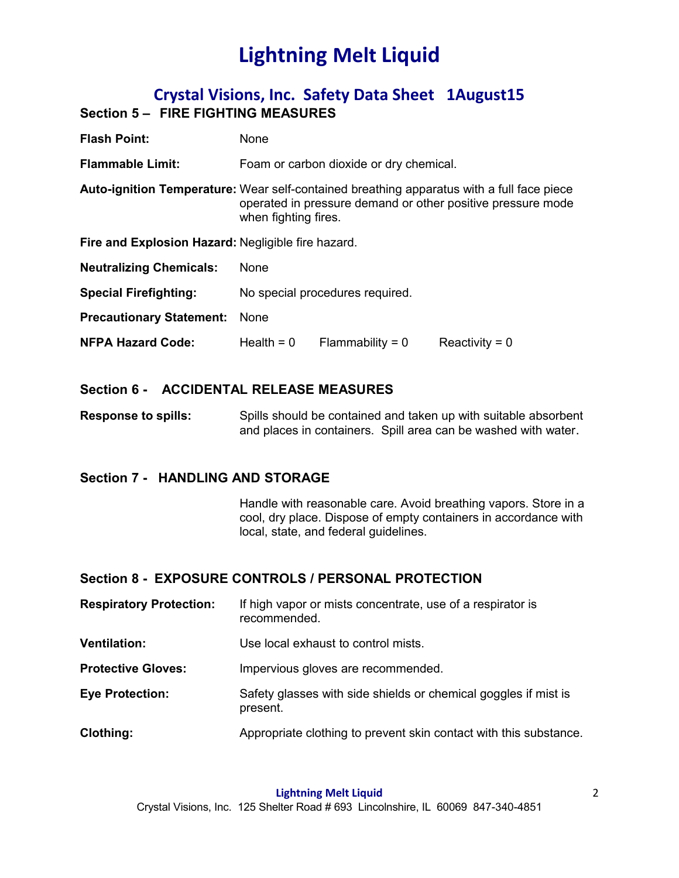## **Crystal Visions, Inc. Safety Data Sheet 1August15 Section 5 – FIRE FIGHTING MEASURES**

| <b>Flash Point:</b>                                | <b>None</b>                                                                                                                                                                      |                    |                  |
|----------------------------------------------------|----------------------------------------------------------------------------------------------------------------------------------------------------------------------------------|--------------------|------------------|
| <b>Flammable Limit:</b>                            | Foam or carbon dioxide or dry chemical.                                                                                                                                          |                    |                  |
|                                                    | Auto-ignition Temperature: Wear self-contained breathing apparatus with a full face piece<br>operated in pressure demand or other positive pressure mode<br>when fighting fires. |                    |                  |
| Fire and Explosion Hazard: Negligible fire hazard. |                                                                                                                                                                                  |                    |                  |
| <b>Neutralizing Chemicals:</b>                     | <b>None</b>                                                                                                                                                                      |                    |                  |
| <b>Special Firefighting:</b>                       | No special procedures required.                                                                                                                                                  |                    |                  |
| <b>Precautionary Statement:</b>                    | None                                                                                                                                                                             |                    |                  |
| <b>NFPA Hazard Code:</b>                           | Health = $0$                                                                                                                                                                     | Flammability = $0$ | Reactivity = $0$ |

## **Section 6 - ACCIDENTAL RELEASE MEASURES**

**Response to spills:** Spills should be contained and taken up with suitable absorbent and places in containers. Spill area can be washed with water.

## **Section 7 - HANDLING AND STORAGE**

Handle with reasonable care. Avoid breathing vapors. Store in a cool, dry place. Dispose of empty containers in accordance with local, state, and federal guidelines.

## **Section 8 - EXPOSURE CONTROLS / PERSONAL PROTECTION**

| <b>Respiratory Protection:</b> | If high vapor or mists concentrate, use of a respirator is<br>recommended.  |
|--------------------------------|-----------------------------------------------------------------------------|
| <b>Ventilation:</b>            | Use local exhaust to control mists.                                         |
| <b>Protective Gloves:</b>      | Impervious gloves are recommended.                                          |
| <b>Eye Protection:</b>         | Safety glasses with side shields or chemical goggles if mist is<br>present. |
| Clothing:                      | Appropriate clothing to prevent skin contact with this substance.           |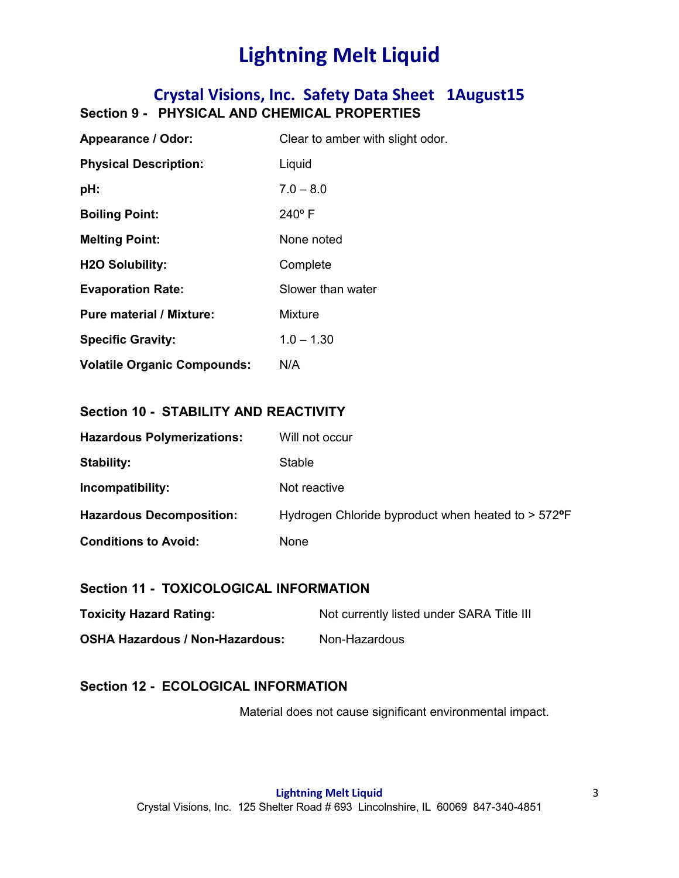# **Crystal Visions, Inc. Safety Data Sheet 1August15 Section 9 - PHYSICAL AND CHEMICAL PROPERTIES**

| Appearance / Odor:                 | Clear to amber with slight odor. |
|------------------------------------|----------------------------------|
| <b>Physical Description:</b>       | Liquid                           |
| pH:                                | $7.0 - 8.0$                      |
| <b>Boiling Point:</b>              | $240^{\circ}$ F                  |
| <b>Melting Point:</b>              | None noted                       |
| <b>H2O Solubility:</b>             | Complete                         |
| <b>Evaporation Rate:</b>           | Slower than water                |
| <b>Pure material / Mixture:</b>    | Mixture                          |
| <b>Specific Gravity:</b>           | $1.0 - 1.30$                     |
| <b>Volatile Organic Compounds:</b> | N/A                              |

### **Section 10 - STABILITY AND REACTIVITY**

| <b>Hazardous Polymerizations:</b> | Will not occur                                                    |
|-----------------------------------|-------------------------------------------------------------------|
| Stability:                        | <b>Stable</b>                                                     |
| Incompatibility:                  | Not reactive                                                      |
| <b>Hazardous Decomposition:</b>   | Hydrogen Chloride byproduct when heated to $> 572$ <sup>o</sup> F |
| <b>Conditions to Avoid:</b>       | <b>None</b>                                                       |

### **Section 11 - TOXICOLOGICAL INFORMATION**

| <b>Toxicity Hazard Rating:</b>         | Not currently listed under SARA Title III |
|----------------------------------------|-------------------------------------------|
| <b>OSHA Hazardous / Non-Hazardous:</b> | Non-Hazardous                             |

## **Section 12 - ECOLOGICAL INFORMATION**

Material does not cause significant environmental impact.